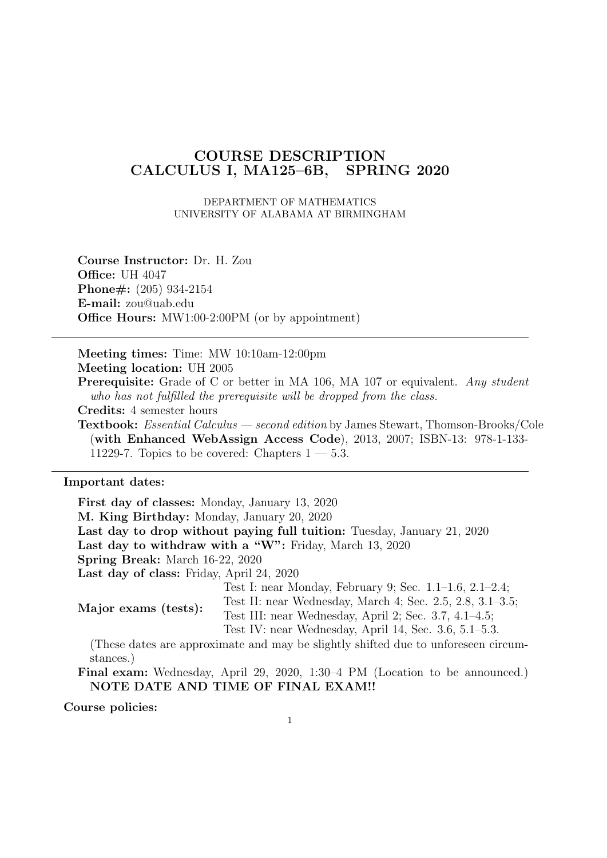# **COURSE DESCRIPTION CALCULUS I, MA125–6B, SPRING 2020**

DEPARTMENT OF MATHEMATICS UNIVERSITY OF ALABAMA AT BIRMINGHAM

**Course Instructor:** Dr. H. Zou **Office:** UH 4047 **Phone#:** (205) 934-2154 **E-mail:** zou@uab.edu **Office Hours:** MW1:00-2:00PM (or by appointment)

**Meeting times:** Time: MW 10:10am-12:00pm **Meeting location:** UH 2005

**Prerequisite:** Grade of C or better in MA 106, MA 107 or equivalent. *Any student who has not fulfilled the prerequisite will be dropped from the class.*

**Credits:** 4 semester hours

**Textbook:** *Essential Calculus — second edition* by James Stewart, Thomson-Brooks/Cole (**with Enhanced WebAssign Access Code**), 2013, 2007; ISBN-13: 978-1-133- 11229-7. Topics to be covered: Chapters  $1 - 5.3$ .

**Important dates:**

**First day of classes:** Monday, January 13, 2020 **M. King Birthday:** Monday, January 20, 2020 **Last day to drop without paying full tuition:** Tuesday, January 21, 2020 Last day to withdraw with a "W": Friday, March 13, 2020 **Spring Break:** March 16-22, 2020 **Last day of class:** Friday, April 24, 2020 **Major exams (tests):** Test I: near Monday, February 9; Sec. 1.1–1.6, 2.1–2.4; Test II: near Wednesday, March 4; Sec. 2.5, 2.8, 3.1–3.5; Test III: near Wednesday, April 2; Sec. 3.7, 4.1–4.5; Test IV: near Wednesday, April 14, Sec. 3.6, 5.1–5.3. (These dates are approximate and may be slightly shifted due to unforeseen circumstances.)

**Final exam:** Wednesday, April 29, 2020, 1:30–4 PM (Location to be announced.) **NOTE DATE AND TIME OF FINAL EXAM!!**

**Course policies:**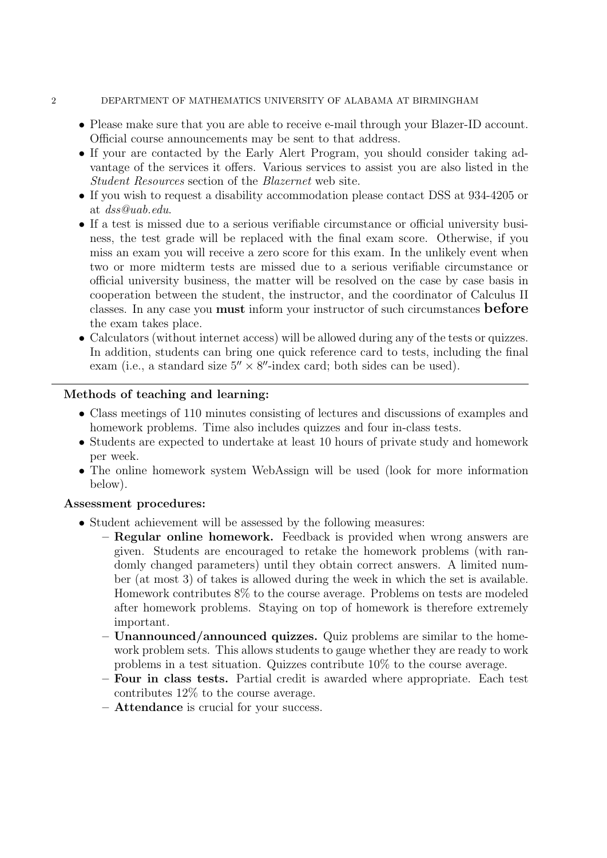#### 2 DEPARTMENT OF MATHEMATICS UNIVERSITY OF ALABAMA AT BIRMINGHAM

- Please make sure that you are able to receive e-mail through your Blazer-ID account. Official course announcements may be sent to that address.
- If your are contacted by the Early Alert Program, you should consider taking advantage of the services it offers. Various services to assist you are also listed in the *Student Resources* section of the *Blazernet* web site.
- If you wish to request a disability accommodation please contact DSS at 934-4205 or at *dss@uab.edu*.
- If a test is missed due to a serious verifiable circumstance or official university business, the test grade will be replaced with the final exam score. Otherwise, if you miss an exam you will receive a zero score for this exam. In the unlikely event when two or more midterm tests are missed due to a serious verifiable circumstance or official university business, the matter will be resolved on the case by case basis in cooperation between the student, the instructor, and the coordinator of Calculus II classes. In any case you **must** inform your instructor of such circumstances **before** the exam takes place.
- Calculators (without internet access) will be allowed during any of the tests or quizzes. In addition, students can bring one quick reference card to tests, including the final exam (i.e., a standard size 5*′′ ×* 8 *′′*-index card; both sides can be used).

## **Methods of teaching and learning:**

- Class meetings of 110 minutes consisting of lectures and discussions of examples and homework problems. Time also includes quizzes and four in-class tests.
- Students are expected to undertake at least 10 hours of private study and homework per week.
- The online homework system WebAssign will be used (look for more information below).

## **Assessment procedures:**

- Student achievement will be assessed by the following measures:
	- **– Regular online homework.** Feedback is provided when wrong answers are given. Students are encouraged to retake the homework problems (with randomly changed parameters) until they obtain correct answers. A limited number (at most 3) of takes is allowed during the week in which the set is available. Homework contributes 8% to the course average. Problems on tests are modeled after homework problems. Staying on top of homework is therefore extremely important.
	- **– Unannounced/announced quizzes.** Quiz problems are similar to the homework problem sets. This allows students to gauge whether they are ready to work problems in a test situation. Quizzes contribute 10% to the course average.
	- **– Four in class tests.** Partial credit is awarded where appropriate. Each test contributes 12% to the course average.
	- **– Attendance** is crucial for your success.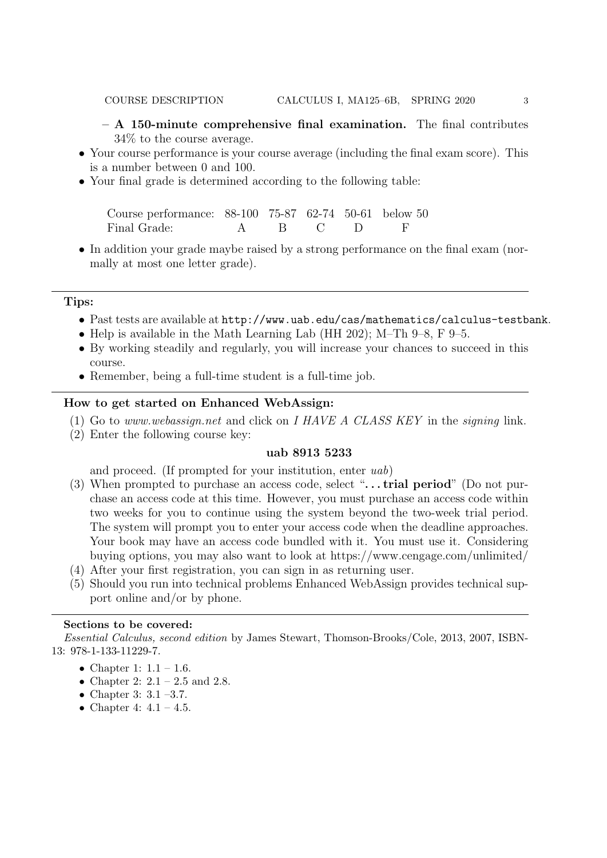- **– A 150-minute comprehensive final examination.** The final contributes 34% to the course average.
- *•* Your course performance is your course average (including the final exam score). This is a number between 0 and 100.
- Your final grade is determined according to the following table:

Course performance: 88-100 75-87 62-74 50-61 below 50 Final Grade: A B C D F

• In addition your grade maybe raised by a strong performance on the final exam (normally at most one letter grade).

## **Tips:**

- *•* Past tests are available at http://www.uab.edu/cas/mathematics/calculus-testbank.
- *•* Help is available in the Math Learning Lab (HH 202); M–Th 9–8, F 9–5.
- By working steadily and regularly, you will increase your chances to succeed in this course.
- Remember, being a full-time student is a full-time job.

#### **How to get started on Enhanced WebAssign:**

- (1) Go to *www.webassign.net* and click on *I HAVE A CLASS KEY* in the *signing* link.
- (2) Enter the following course key:

### **uab 8913 5233**

and proceed. (If prompted for your institution, enter *uab*)

- (3) When prompted to purchase an access code, select "**. . . trial period**" (Do not purchase an access code at this time. However, you must purchase an access code within two weeks for you to continue using the system beyond the two-week trial period. The system will prompt you to enter your access code when the deadline approaches. Your book may have an access code bundled with it. You must use it. Considering buying options, you may also want to look at https://www.cengage.com/unlimited/
- (4) After your first registration, you can sign in as returning user.
- (5) Should you run into technical problems Enhanced WebAssign provides technical support online and/or by phone.

#### **Sections to be covered:**

*Essential Calculus, second edition* by James Stewart, Thomson-Brooks/Cole, 2013, 2007, ISBN-13: 978-1-133-11229-7.

- *•* Chapter 1: 1.1 1.6.
- Chapter 2: 2.1 2.5 and 2.8.
- *•* Chapter 3: 3.1 –3.7.
- Chapter 4:  $4.1 4.5$ .